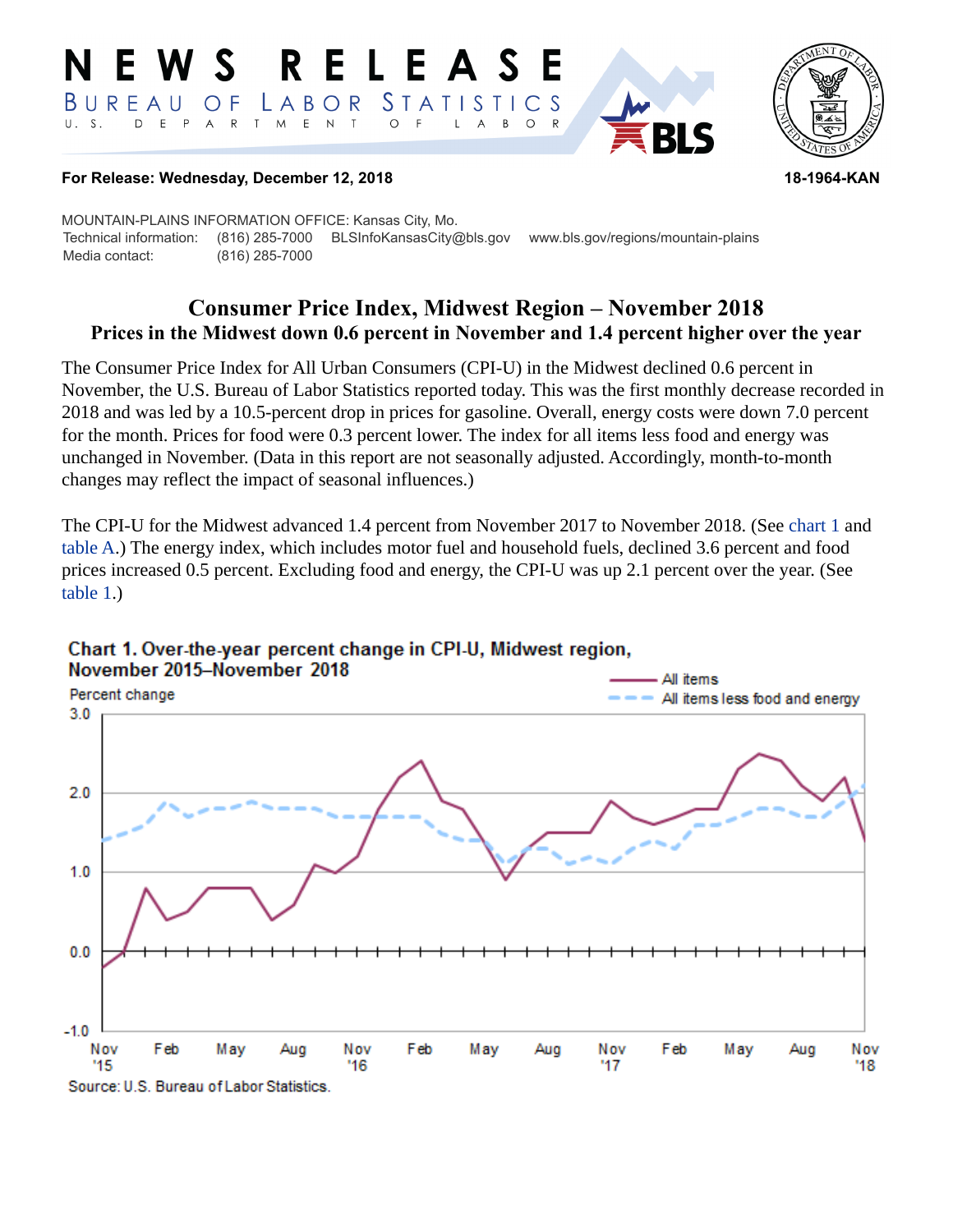#### RELEASE E W S *STATISTICS* BUREAU  $\overline{O}$  F LABOR D E P  $\mathsf{R}$  $T$  $M$  $E$  N  $\top$  $U. S.$  $A$  $\circ$  $\mathsf{L}$  $\overline{A}$  $B$  $\circ$



### **For Release: Wednesday, December 12, 2018 18-1964-KAN**

MOUNTAIN-PLAINS INFORMATION OFFICE: Kansas City, Mo. Technical information: (816) 285-7000 BLSInfoKansasCity@bls.gov www.bls.gov/regions/mountain-plains Media contact: (816) 285-7000

# **Consumer Price Index, Midwest Region – November 2018 Prices in the Midwest down 0.6 percent in November and 1.4 percent higher over the year**

The Consumer Price Index for All Urban Consumers (CPI-U) in the Midwest declined 0.6 percent in November, the U.S. Bureau of Labor Statistics reported today. This was the first monthly decrease recorded in 2018 and was led by a 10.5-percent drop in prices for gasoline. Overall, energy costs were down 7.0 percent for the month. Prices for food were 0.3 percent lower. The index for all items less food and energy was unchanged in November. (Data in this report are not seasonally adjusted. Accordingly, month-to-month changes may reflect the impact of seasonal influences.)

The CPI-U for the Midwest advanced 1.4 percent from November 2017 to November 2018. (See [chart 1](#page-0-0) and [table A.](#page-1-0)) The energy index, which includes motor fuel and household fuels, declined 3.6 percent and food prices increased 0.5 percent. Excluding food and energy, the CPI-U was up 2.1 percent over the year. (See [table 1.](#page-3-0))



## <span id="page-0-0"></span>Chart 1. Over-the-year percent change in CPI-U, Midwest region, November 2015-November 2018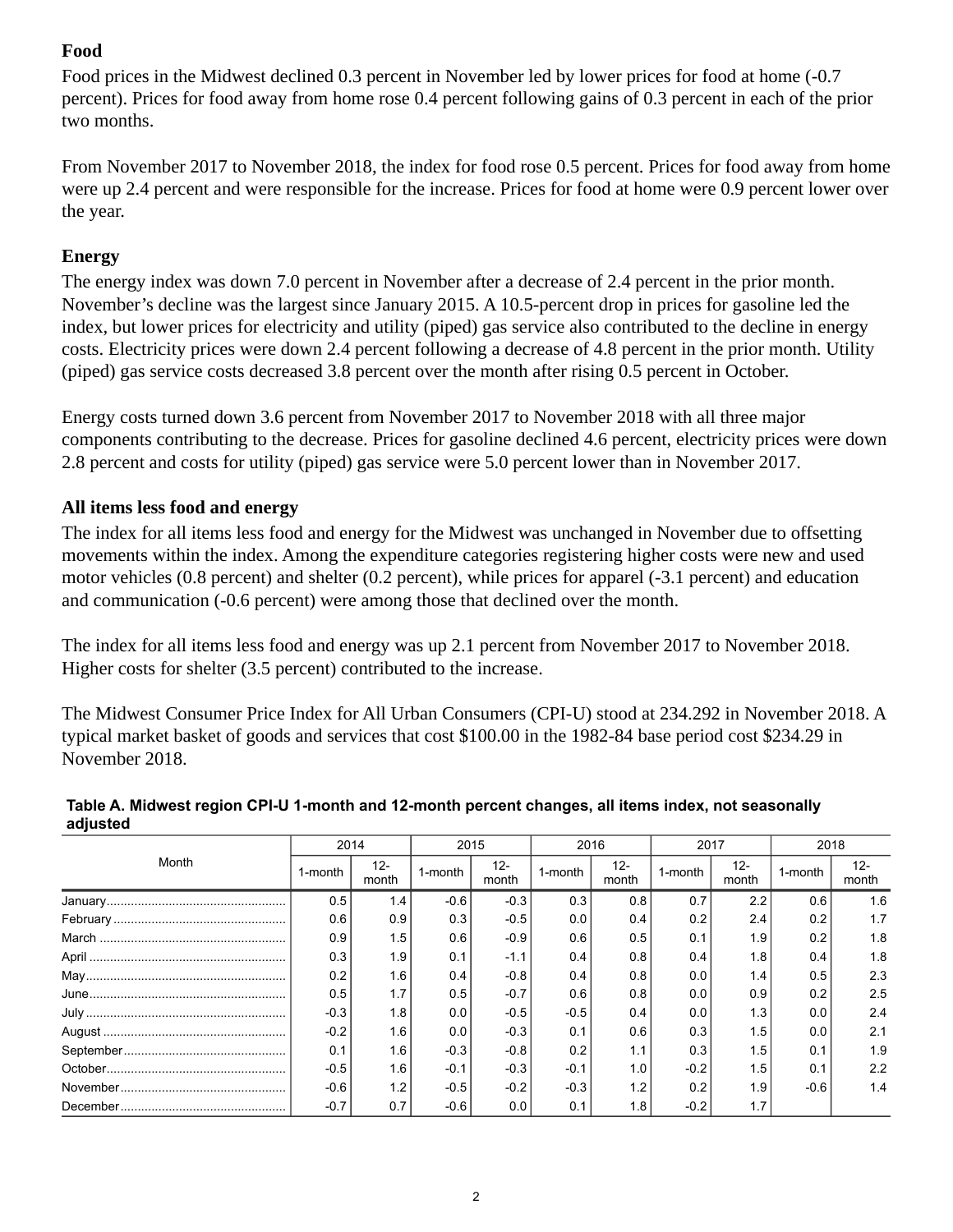# **Food**

Food prices in the Midwest declined 0.3 percent in November led by lower prices for food at home (-0.7 percent). Prices for food away from home rose 0.4 percent following gains of 0.3 percent in each of the prior two months.

From November 2017 to November 2018, the index for food rose 0.5 percent. Prices for food away from home were up 2.4 percent and were responsible for the increase. Prices for food at home were 0.9 percent lower over the year.

# **Energy**

The energy index was down 7.0 percent in November after a decrease of 2.4 percent in the prior month. November's decline was the largest since January 2015. A 10.5-percent drop in prices for gasoline led the index, but lower prices for electricity and utility (piped) gas service also contributed to the decline in energy costs. Electricity prices were down 2.4 percent following a decrease of 4.8 percent in the prior month. Utility (piped) gas service costs decreased 3.8 percent over the month after rising 0.5 percent in October.

Energy costs turned down 3.6 percent from November 2017 to November 2018 with all three major components contributing to the decrease. Prices for gasoline declined 4.6 percent, electricity prices were down 2.8 percent and costs for utility (piped) gas service were 5.0 percent lower than in November 2017.

# **All items less food and energy**

The index for all items less food and energy for the Midwest was unchanged in November due to offsetting movements within the index. Among the expenditure categories registering higher costs were new and used motor vehicles (0.8 percent) and shelter (0.2 percent), while prices for apparel (-3.1 percent) and education and communication (-0.6 percent) were among those that declined over the month.

The index for all items less food and energy was up 2.1 percent from November 2017 to November 2018. Higher costs for shelter (3.5 percent) contributed to the increase.

The Midwest Consumer Price Index for All Urban Consumers (CPI-U) stood at 234.292 in November 2018. A typical market basket of goods and services that cost \$100.00 in the 1982-84 base period cost \$234.29 in November 2018.

|       | 2014    |                 | 2015    |                 | 2016    |                 | 2017    |                 | 2018    |                 |
|-------|---------|-----------------|---------|-----------------|---------|-----------------|---------|-----------------|---------|-----------------|
| Month | 1-month | $12 -$<br>month | 1-month | $12 -$<br>month | 1-month | $12 -$<br>month | 1-month | $12 -$<br>month | 1-month | $12 -$<br>month |
|       | 0.5     | 1.4             | $-0.6$  | $-0.3$          | 0.3     | 0.8             | 0.7     | 2.2             | 0.6     | 1.6             |
|       | 0.6     | 0.9             | 0.3     | $-0.5$          | 0.0     | 0.4             | 0.2     | 2.4             | 0.2     | 1.7             |
|       | 0.9     | 1.5             | 0.6     | $-0.9$          | 0.6     | 0.5             | 0.1     | 1.9             | 0.2     | 1.8             |
|       | 0.3     | 1.9             | 0.1     | $-1.1$          | 0.4     | 0.8             | 0.4     | 1.8             | 0.4     | 1.8             |
|       | 0.2     | 1.6             | 0.4     | $-0.8$          | 0.4     | 0.8             | 0.0     | 1.4             | 0.5     | 2.3             |
|       | 0.5     | 1.7             | 0.5     | $-0.7$          | 0.6     | 0.8             | 0.0     | 0.9             | 0.2     | 2.5             |
|       | $-0.3$  | 1.8             | 0.0     | $-0.5$          | $-0.5$  | 0.4             | 0.0     | 1.3             | 0.0     | 2.4             |
|       | $-0.2$  | 1.6             | 0.0     | $-0.3$          | 0.1     | 0.6             | 0.3     | 1.5             | 0.0     | 2.1             |
|       | 0.1     | 1.6             | $-0.3$  | $-0.8$          | 0.2     | 1.1             | 0.3     | 1.5             | 0.1     | 1.9             |
|       | $-0.5$  | 1.6             | $-0.1$  | $-0.3$          | $-0.1$  | 1.0             | $-0.2$  | 1.5             | 0.1     | 2.2             |
|       | $-0.6$  | 1.2             | $-0.5$  | $-0.2$          | $-0.3$  | 1.2             | 0.2     | 1.9             | $-0.6$  | 1.4             |
|       | $-0.7$  | 0.7             | $-0.6$  | 0.0             | 0.1     | 1.8             | $-0.2$  |                 |         |                 |

### <span id="page-1-0"></span>**Table A. Midwest region CPI-U 1-month and 12-month percent changes, all items index, not seasonally adjusted**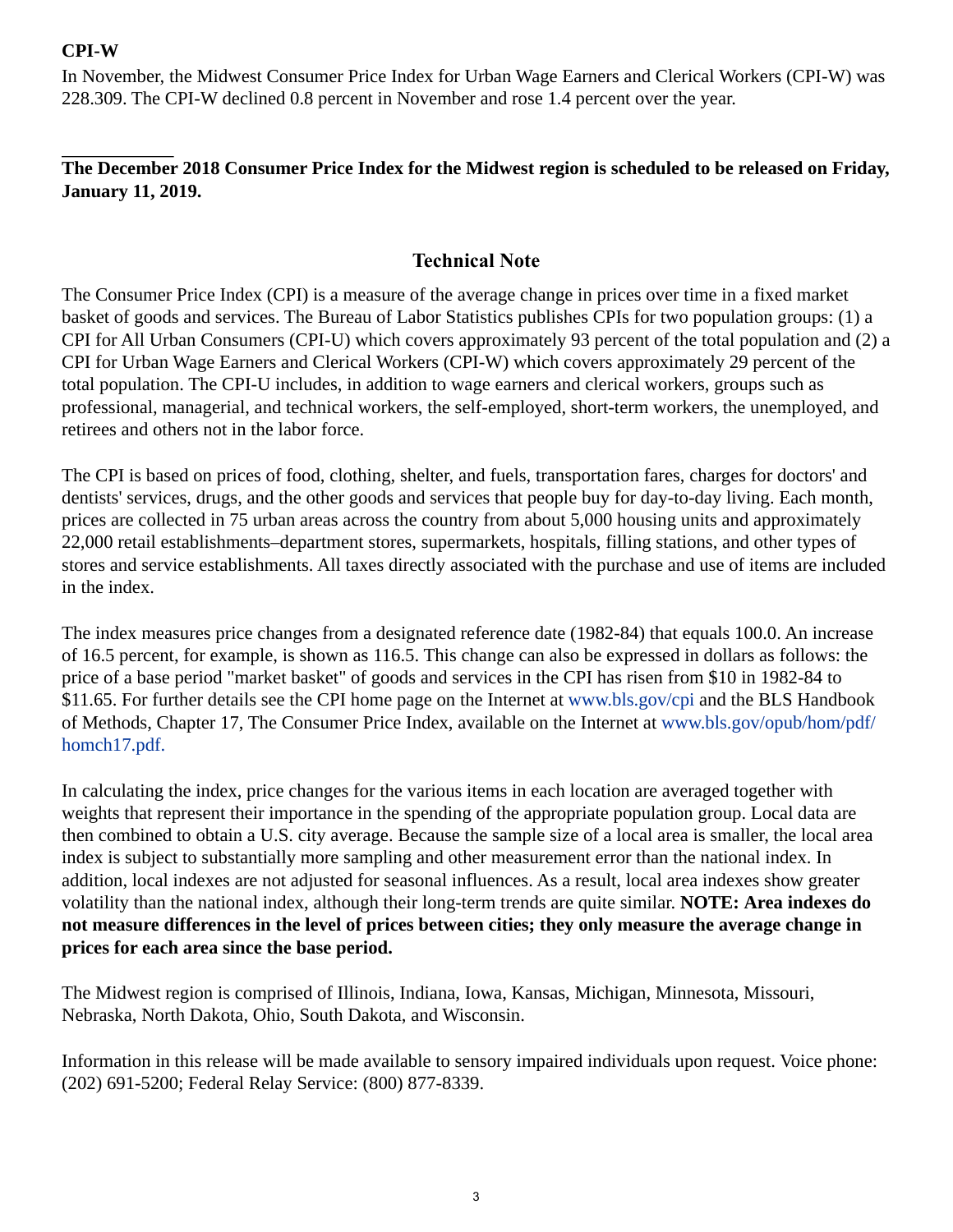## **CPI-W**

In November, the Midwest Consumer Price Index for Urban Wage Earners and Clerical Workers (CPI-W) was 228.309. The CPI-W declined 0.8 percent in November and rose 1.4 percent over the year.

## **The December 2018 Consumer Price Index for the Midwest region is scheduled to be released on Friday, January 11, 2019.**

## **Technical Note**

The Consumer Price Index (CPI) is a measure of the average change in prices over time in a fixed market basket of goods and services. The Bureau of Labor Statistics publishes CPIs for two population groups: (1) a CPI for All Urban Consumers (CPI-U) which covers approximately 93 percent of the total population and (2) a CPI for Urban Wage Earners and Clerical Workers (CPI-W) which covers approximately 29 percent of the total population. The CPI-U includes, in addition to wage earners and clerical workers, groups such as professional, managerial, and technical workers, the self-employed, short-term workers, the unemployed, and retirees and others not in the labor force.

The CPI is based on prices of food, clothing, shelter, and fuels, transportation fares, charges for doctors' and dentists' services, drugs, and the other goods and services that people buy for day-to-day living. Each month, prices are collected in 75 urban areas across the country from about 5,000 housing units and approximately 22,000 retail establishments–department stores, supermarkets, hospitals, filling stations, and other types of stores and service establishments. All taxes directly associated with the purchase and use of items are included in the index.

The index measures price changes from a designated reference date (1982-84) that equals 100.0. An increase of 16.5 percent, for example, is shown as 116.5. This change can also be expressed in dollars as follows: the price of a base period "market basket" of goods and services in the CPI has risen from \$10 in 1982-84 to \$11.65. For further details see the CPI home page on the Internet at [www.bls.gov/cpi](https://www.bls.gov/cpi) and the BLS Handbook of Methods, Chapter 17, The Consumer Price Index, available on the Internet at [www.bls.gov/opub/hom/pdf/](https://www.bls.gov/opub/hom/pdf/homch17.pdf) [homch17.pdf.](https://www.bls.gov/opub/hom/pdf/homch17.pdf)

In calculating the index, price changes for the various items in each location are averaged together with weights that represent their importance in the spending of the appropriate population group. Local data are then combined to obtain a U.S. city average. Because the sample size of a local area is smaller, the local area index is subject to substantially more sampling and other measurement error than the national index. In addition, local indexes are not adjusted for seasonal influences. As a result, local area indexes show greater volatility than the national index, although their long-term trends are quite similar. **NOTE: Area indexes do not measure differences in the level of prices between cities; they only measure the average change in prices for each area since the base period.**

The Midwest region is comprised of Illinois, Indiana, Iowa, Kansas, Michigan, Minnesota, Missouri, Nebraska, North Dakota, Ohio, South Dakota, and Wisconsin.

Information in this release will be made available to sensory impaired individuals upon request. Voice phone: (202) 691-5200; Federal Relay Service: (800) 877-8339.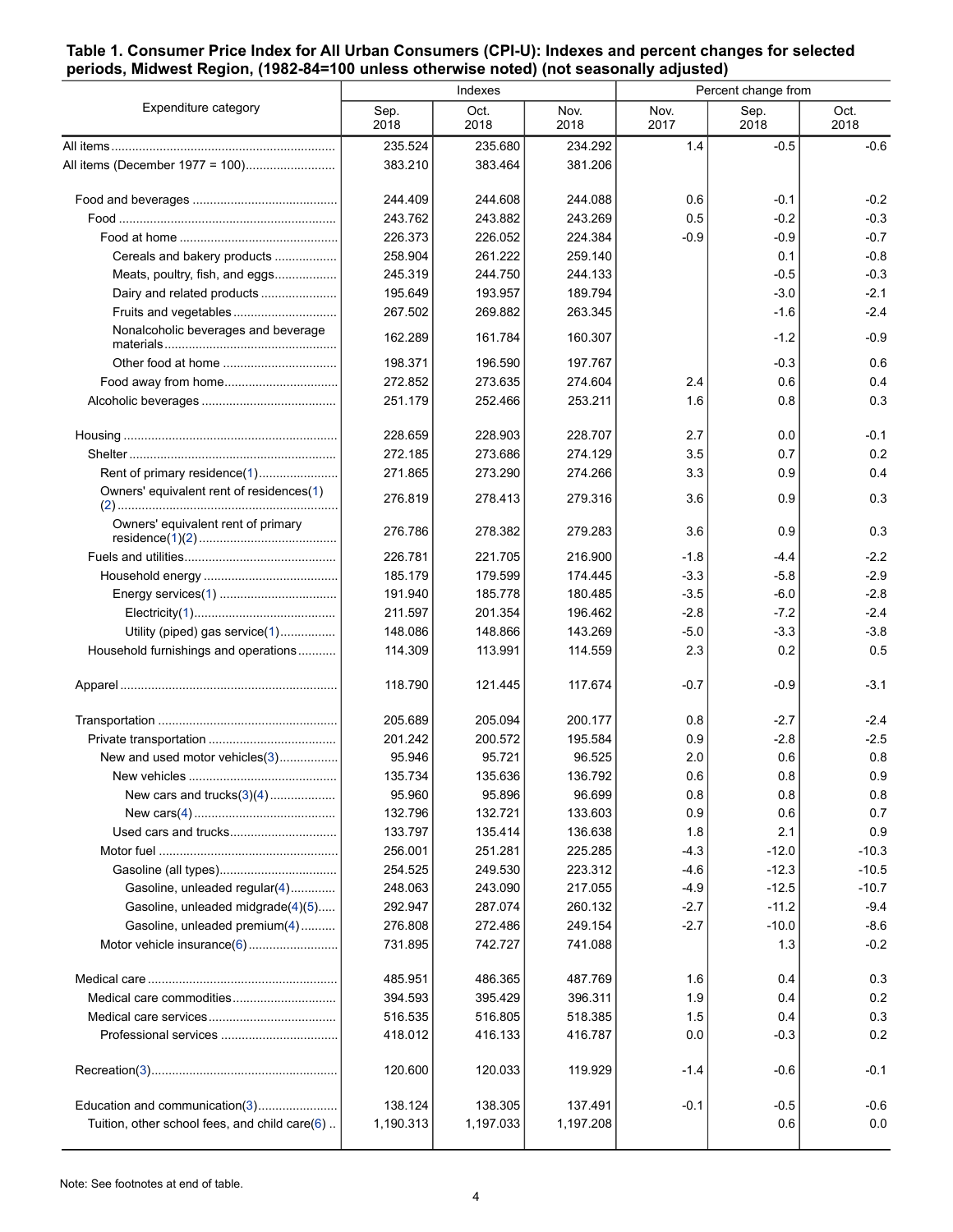#### <span id="page-3-0"></span>**Table 1. Consumer Price Index for All Urban Consumers (CPI-U): Indexes and percent changes for selected periods, Midwest Region, (1982-84=100 unless otherwise noted) (not seasonally adjusted)**

|                                               |              | Indexes      |              | Percent change from |              |              |  |
|-----------------------------------------------|--------------|--------------|--------------|---------------------|--------------|--------------|--|
| Expenditure category                          | Sep.<br>2018 | Oct.<br>2018 | Nov.<br>2018 | Nov.<br>2017        | Sep.<br>2018 | Oct.<br>2018 |  |
|                                               | 235.524      | 235.680      | 234.292      | 1.4                 | $-0.5$       | $-0.6$       |  |
|                                               | 383.210      | 383.464      | 381.206      |                     |              |              |  |
|                                               | 244.409      | 244.608      | 244.088      | 0.6                 | $-0.1$       | $-0.2$       |  |
|                                               | 243.762      | 243.882      | 243.269      | 0.5                 | $-0.2$       | $-0.3$       |  |
|                                               | 226.373      | 226.052      | 224.384      | $-0.9$              | $-0.9$       | $-0.7$       |  |
| Cereals and bakery products                   | 258.904      | 261.222      | 259.140      |                     | 0.1          | $-0.8$       |  |
| Meats, poultry, fish, and eggs                | 245.319      | 244.750      | 244.133      |                     | $-0.5$       | $-0.3$       |  |
| Dairy and related products                    | 195.649      | 193.957      | 189.794      |                     | $-3.0$       | $-2.1$       |  |
| Fruits and vegetables                         | 267.502      | 269.882      | 263.345      |                     | $-1.6$       | $-2.4$       |  |
| Nonalcoholic beverages and beverage           | 162.289      | 161.784      | 160.307      |                     | $-1.2$       | $-0.9$       |  |
|                                               | 198.371      | 196.590      | 197.767      |                     | $-0.3$       | 0.6          |  |
|                                               | 272.852      | 273.635      | 274.604      | 2.4                 | 0.6          | 0.4          |  |
|                                               | 251.179      | 252.466      | 253.211      | 1.6                 | 0.8          | 0.3          |  |
|                                               | 228.659      | 228.903      | 228.707      | 2.7                 | 0.0          | $-0.1$       |  |
|                                               | 272.185      | 273.686      | 274.129      | 3.5                 | 0.7          | 0.2          |  |
| Rent of primary residence(1)                  | 271.865      | 273.290      | 274.266      | 3.3                 | 0.9          | 0.4          |  |
| Owners' equivalent rent of residences(1)      | 276.819      | 278.413      | 279.316      | 3.6                 | 0.9          | 0.3          |  |
| Owners' equivalent rent of primary            | 276.786      | 278.382      | 279.283      | 3.6                 | 0.9          | 0.3          |  |
|                                               | 226.781      | 221.705      | 216.900      | $-1.8$              | $-4.4$       | $-2.2$       |  |
|                                               | 185.179      | 179.599      | 174.445      | $-3.3$              | $-5.8$       | $-2.9$       |  |
|                                               | 191.940      | 185.778      | 180.485      | $-3.5$              | $-6.0$       | $-2.8$       |  |
|                                               | 211.597      | 201.354      | 196.462      | $-2.8$              | $-7.2$       | $-2.4$       |  |
| Utility (piped) gas service(1)                | 148.086      | 148.866      | 143.269      | $-5.0$              | $-3.3$       | $-3.8$       |  |
| Household furnishings and operations          | 114.309      | 113.991      | 114.559      | 2.3                 | 0.2          | 0.5          |  |
|                                               | 118.790      | 121.445      | 117.674      | $-0.7$              | $-0.9$       | $-3.1$       |  |
|                                               | 205.689      | 205.094      | 200.177      | 0.8                 | $-2.7$       | $-2.4$       |  |
|                                               | 201.242      | 200.572      | 195.584      | 0.9                 | $-2.8$       | $-2.5$       |  |
| New and used motor vehicles(3)                | 95.946       | 95.721       | 96.525       | 2.0                 | 0.6          | 0.8          |  |
|                                               | 135.734      | 135.636      | 136.792      | 0.6                 | 0.8          | 0.9          |  |
| New cars and trucks $(3)(4)$                  | 95.960       | 95.896       | 96.699       | 0.8                 | 0.8          | 0.8          |  |
|                                               | 132.796      | 132.721      | 133.603      | 0.9                 | 0.6          | 0.7          |  |
|                                               | 133.797      | 135.414      | 136.638      | 1.8                 | 2.1          | 0.9          |  |
|                                               | 256.001      | 251.281      | 225.285      | $-4.3$              | $-12.0$      | $-10.3$      |  |
|                                               | 254.525      | 249.530      | 223.312      | $-4.6$              | $-12.3$      | $-10.5$      |  |
| Gasoline, unleaded regular(4)                 | 248.063      | 243.090      | 217.055      | $-4.9$              | $-12.5$      | $-10.7$      |  |
| Gasoline, unleaded midgrade(4)(5)             | 292.947      | 287.074      | 260.132      | $-2.7$              | $-11.2$      | $-9.4$       |  |
| Gasoline, unleaded premium(4)                 | 276.808      | 272.486      | 249.154      | $-2.7$              | $-10.0$      | $-8.6$       |  |
| Motor vehicle insurance(6)                    | 731.895      | 742.727      | 741.088      |                     | 1.3          | $-0.2$       |  |
|                                               | 485.951      | 486.365      | 487.769      | 1.6                 | 0.4          | 0.3          |  |
|                                               | 394.593      | 395.429      | 396.311      | 1.9                 | 0.4          | 0.2          |  |
|                                               | 516.535      | 516.805      | 518.385      | 1.5                 | 0.4          | 0.3          |  |
|                                               | 418.012      | 416.133      | 416.787      | 0.0                 | $-0.3$       | 0.2          |  |
|                                               | 120.600      | 120.033      | 119.929      | $-1.4$              | $-0.6$       | $-0.1$       |  |
| Education and communication(3)                | 138.124      | 138.305      | 137.491      | $-0.1$              | $-0.5$       | $-0.6$       |  |
| Tuition, other school fees, and child care(6) | 1,190.313    | 1,197.033    | 1,197.208    |                     | 0.6          | 0.0          |  |